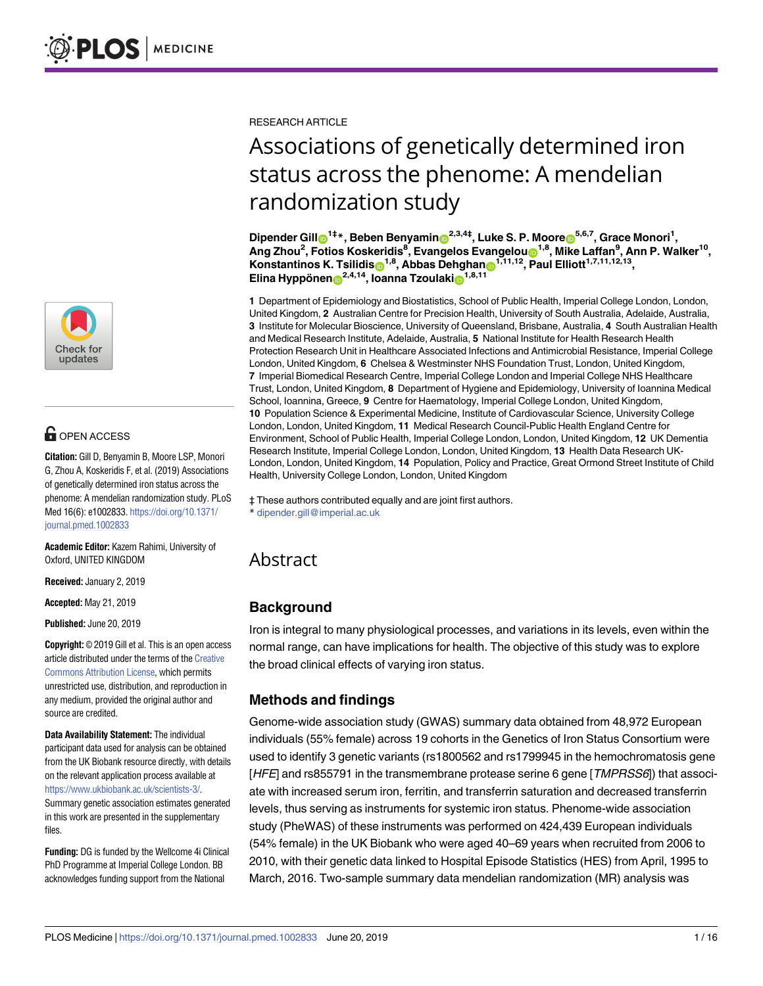

# **G** OPEN ACCESS

**Citation:** Gill D, Benyamin B, Moore LSP, Monori G, Zhou A, Koskeridis F, et al. (2019) Associations of genetically determined iron status across the phenome: A mendelian randomization study. PLoS Med 16(6): e1002833. [https://doi.org/10.1371/](https://doi.org/10.1371/journal.pmed.1002833) [journal.pmed.1002833](https://doi.org/10.1371/journal.pmed.1002833)

**Academic Editor:** Kazem Rahimi, University of Oxford, UNITED KINGDOM

**Received:** January 2, 2019

**Accepted:** May 21, 2019

**Published:** June 20, 2019

**Copyright:** © 2019 Gill et al. This is an open access article distributed under the terms of the [Creative](http://creativecommons.org/licenses/by/4.0/) [Commons](http://creativecommons.org/licenses/by/4.0/) Attribution License, which permits unrestricted use, distribution, and reproduction in any medium, provided the original author and source are credited.

**Data Availability Statement:** The individual participant data used for analysis can be obtained from the UK Biobank resource directly, with details on the relevant application process available at <https://www.ukbiobank.ac.uk/scientists-3/>. Summary genetic association estimates generated in this work are presented in the supplementary files.

**Funding:** DG is funded by the Wellcome 4i Clinical PhD Programme at Imperial College London. BB acknowledges funding support from the National

RESEARCH ARTICLE

# Associations of genetically determined iron status across the phenome: A mendelian randomization study

 $D$ ipender Gill $\mathbf{O}^{1\ddagger\ast}$ , Beben Benyamin $\mathbf{O}^{2,3,4\ddagger}$ , Luke S. P. Moore $\mathbf{O}^{5,6,7}$ , Grace Monori<sup>1</sup>,  $\lambda$ ng Zhou<sup>2</sup>, Fotios Koskeridis<sup>8</sup>, Evangelos Evangeloun<sup>1,8</sup>, Mike Laffan<sup>9</sup>, Ann P. Walker<sup>10</sup>, **Konstantinos K. Tsilidis**<sup>1,8</sup>, Abbas Dehghan<sup>6</sup><sup>1,11,12</sup>, Paul Elliott<sup>1,7,11,12,13</sup>,  $\mathbf{E}$ lina **Hyppönen**<sup>2,4,14</sup>, **Ioanna Tzoulaki**<sup>1,8,11</sup>

**1** Department of Epidemiology and Biostatistics, School of Public Health, Imperial College London, London, United Kingdom, **2** Australian Centre for Precision Health, University of South Australia, Adelaide, Australia, **3** Institute for Molecular Bioscience, University of Queensland, Brisbane, Australia, **4** South Australian Health and Medical Research Institute, Adelaide, Australia, **5** National Institute for Health Research Health Protection Research Unit in Healthcare Associated Infections and Antimicrobial Resistance, Imperial College London, United Kingdom, **6** Chelsea & Westminster NHS Foundation Trust, London, United Kingdom, **7** Imperial Biomedical Research Centre, Imperial College London and Imperial College NHS Healthcare Trust, London, United Kingdom, **8** Department of Hygiene and Epidemiology, University of Ioannina Medical School, Ioannina, Greece, **9** Centre for Haematology, Imperial College London, United Kingdom, **10** Population Science & Experimental Medicine, Institute of Cardiovascular Science, University College London, London, United Kingdom, **11** Medical Research Council-Public Health England Centre for Environment, School of Public Health, Imperial College London, London, United Kingdom, **12** UK Dementia Research Institute, Imperial College London, London, United Kingdom, **13** Health Data Research UK-London, London, United Kingdom, **14** Population, Policy and Practice, Great Ormond Street Institute of Child Health, University College London, London, United Kingdom

‡ These authors contributed equally and are joint first authors. \* dipender.gill@imperial.ac.uk

# Abstract

# **Background**

Iron is integral to many physiological processes, and variations in its levels, even within the normal range, can have implications for health. The objective of this study was to explore the broad clinical effects of varying iron status.

## **Methods and findings**

Genome-wide association study (GWAS) summary data obtained from 48,972 European individuals (55% female) across 19 cohorts in the Genetics of Iron Status Consortium were used to identify 3 genetic variants (rs1800562 and rs1799945 in the hemochromatosis gene [HFE] and rs855791 in the transmembrane protease serine 6 gene [TMPRSS6]) that associate with increased serum iron, ferritin, and transferrin saturation and decreased transferrin levels, thus serving as instruments for systemic iron status. Phenome-wide association study (PheWAS) of these instruments was performed on 424,439 European individuals (54% female) in the UK Biobank who were aged 40–69 years when recruited from 2006 to 2010, with their genetic data linked to Hospital Episode Statistics (HES) from April, 1995 to March, 2016. Two-sample summary data mendelian randomization (MR) analysis was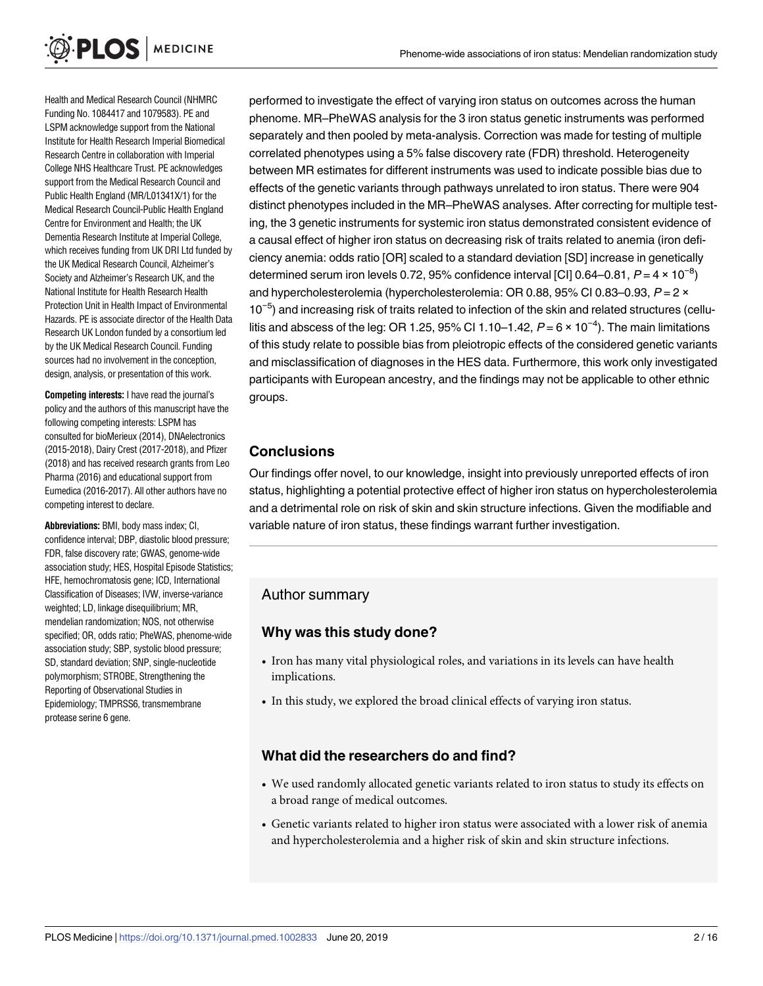Health and Medical Research Council (NHMRC Funding No. 1084417 and 1079583). PE and LSPM acknowledge support from the National Institute for Health Research Imperial Biomedical Research Centre in collaboration with Imperial College NHS Healthcare Trust. PE acknowledges support from the Medical Research Council and Public Health England (MR/L01341X/1) for the Medical Research Council-Public Health England Centre for Environment and Health; the UK Dementia Research Institute at Imperial College, which receives funding from UK DRI Ltd funded by the UK Medical Research Council, Alzheimer's Society and Alzheimer's Research UK, and the National Institute for Health Research Health Protection Unit in Health Impact of Environmental Hazards. PE is associate director of the Health Data Research UK London funded by a consortium led by the UK Medical Research Council. Funding sources had no involvement in the conception, design, analysis, or presentation of this work.

**Competing interests:** I have read the journal's policy and the authors of this manuscript have the following competing interests: LSPM has consulted for bioMerieux (2014), DNAelectronics (2015-2018), Dairy Crest (2017-2018), and Pfizer (2018) and has received research grants from Leo Pharma (2016) and educational support from Eumedica (2016-2017). All other authors have no competing interest to declare.

**Abbreviations:** BMI, body mass index; CI, confidence interval; DBP, diastolic blood pressure; FDR, false discovery rate; GWAS, genome-wide association study; HES, Hospital Episode Statistics; HFE, hemochromatosis gene; ICD, International Classification of Diseases; IVW, inverse-variance weighted; LD, linkage disequilibrium; MR, mendelian randomization; NOS, not otherwise specified; OR, odds ratio; PheWAS, phenome-wide association study; SBP, systolic blood pressure; SD, standard deviation; SNP, single-nucleotide polymorphism; STROBE, Strengthening the Reporting of Observational Studies in Epidemiology; TMPRSS6, transmembrane protease serine 6 gene.

performed to investigate the effect of varying iron status on outcomes across the human phenome. MR–PheWAS analysis for the 3 iron status genetic instruments was performed separately and then pooled by meta-analysis. Correction was made for testing of multiple correlated phenotypes using a 5% false discovery rate (FDR) threshold. Heterogeneity between MR estimates for different instruments was used to indicate possible bias due to effects of the genetic variants through pathways unrelated to iron status. There were 904 distinct phenotypes included in the MR–PheWAS analyses. After correcting for multiple testing, the 3 genetic instruments for systemic iron status demonstrated consistent evidence of a causal effect of higher iron status on decreasing risk of traits related to anemia (iron deficiency anemia: odds ratio [OR] scaled to a standard deviation [SD] increase in genetically determined serum iron levels 0.72, 95% confidence interval [CI] 0.64–0.81,  $P = 4 \times 10^{-8}$ ] and hypercholesterolemia (hypercholesterolemia: OR 0.88, 95% CI 0.83–0.93,  $P = 2 \times$ 10<sup>-5</sup>) and increasing risk of traits related to infection of the skin and related structures (cellulitis and abscess of the leg: OR 1.25, 95% CI 1.10–1.42,  $P = 6 \times 10^{-4}$ ). The main limitations of this study relate to possible bias from pleiotropic effects of the considered genetic variants and misclassification of diagnoses in the HES data. Furthermore, this work only investigated participants with European ancestry, and the findings may not be applicable to other ethnic groups.

## **Conclusions**

Our findings offer novel, to our knowledge, insight into previously unreported effects of iron status, highlighting a potential protective effect of higher iron status on hypercholesterolemia and a detrimental role on risk of skin and skin structure infections. Given the modifiable and variable nature of iron status, these findings warrant further investigation.

## Author summary

#### **Why was this study done?**

- Iron has many vital physiological roles, and variations in its levels can have health implications.
- In this study, we explored the broad clinical effects of varying iron status.

#### **What did the researchers do and find?**

- We used randomly allocated genetic variants related to iron status to study its effects on a broad range of medical outcomes.
- Genetic variants related to higher iron status were associated with a lower risk of anemia and hypercholesterolemia and a higher risk of skin and skin structure infections.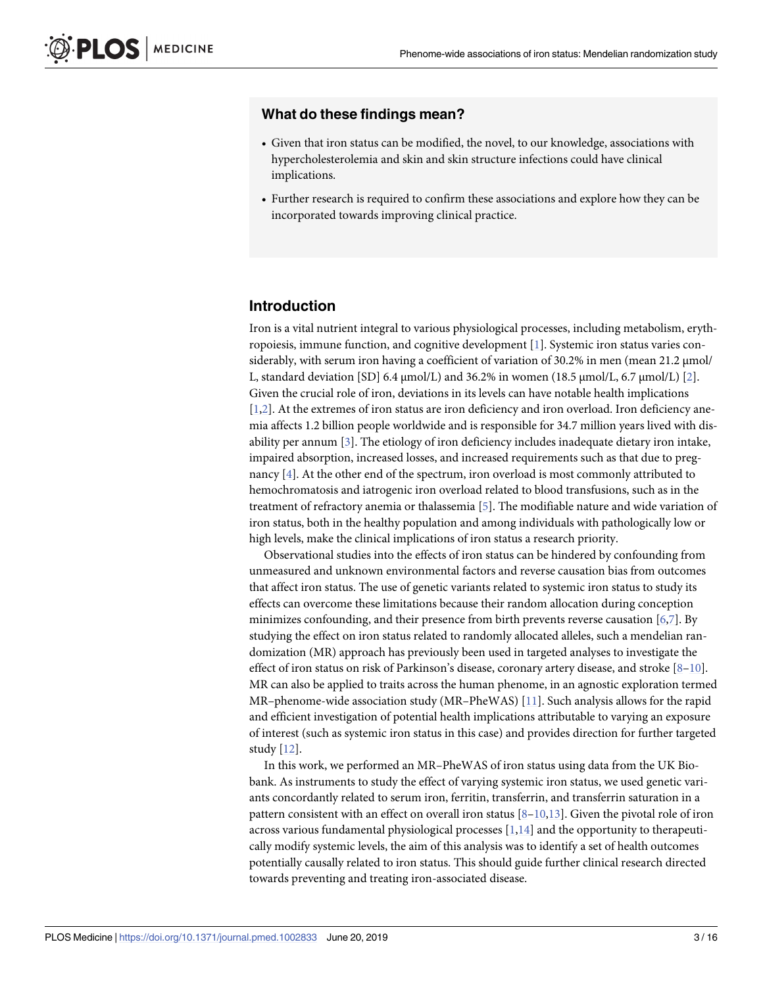#### <span id="page-2-0"></span>**What do these findings mean?**

- Given that iron status can be modified, the novel, to our knowledge, associations with hypercholesterolemia and skin and skin structure infections could have clinical implications.
- Further research is required to confirm these associations and explore how they can be incorporated towards improving clinical practice.

#### **Introduction**

Iron is a vital nutrient integral to various physiological processes, including metabolism, erythropoiesis, immune function, and cognitive development [[1](#page-12-0)]. Systemic iron status varies considerably, with serum iron having a coefficient of variation of 30.2% in men (mean 21.2 μmol/ L, standard deviation [SD] 6.4 μmol/L) and 36.2% in women (18.5 μmol/L, 6.7 μmol/L) [\[2\]](#page-12-0). Given the crucial role of iron, deviations in its levels can have notable health implications [\[1,2](#page-12-0)]. At the extremes of iron status are iron deficiency and iron overload. Iron deficiency anemia affects 1.2 billion people worldwide and is responsible for 34.7 million years lived with disability per annum [[3](#page-12-0)]. The etiology of iron deficiency includes inadequate dietary iron intake, impaired absorption, increased losses, and increased requirements such as that due to pregnancy [[4](#page-12-0)]. At the other end of the spectrum, iron overload is most commonly attributed to hemochromatosis and iatrogenic iron overload related to blood transfusions, such as in the treatment of refractory anemia or thalassemia [\[5](#page-12-0)]. The modifiable nature and wide variation of iron status, both in the healthy population and among individuals with pathologically low or high levels, make the clinical implications of iron status a research priority.

Observational studies into the effects of iron status can be hindered by confounding from unmeasured and unknown environmental factors and reverse causation bias from outcomes that affect iron status. The use of genetic variants related to systemic iron status to study its effects can overcome these limitations because their random allocation during conception minimizes confounding, and their presence from birth prevents reverse causation  $[6,7]$  $[6,7]$ . By studying the effect on iron status related to randomly allocated alleles, such a mendelian randomization (MR) approach has previously been used in targeted analyses to investigate the effect of iron status on risk of Parkinson's disease, coronary artery disease, and stroke  $[8-10]$ . MR can also be applied to traits across the human phenome, in an agnostic exploration termed MR–phenome-wide association study (MR–PheWAS) [[11](#page-12-0)]. Such analysis allows for the rapid and efficient investigation of potential health implications attributable to varying an exposure of interest (such as systemic iron status in this case) and provides direction for further targeted study [\[12\]](#page-12-0).

In this work, we performed an MR–PheWAS of iron status using data from the UK Biobank. As instruments to study the effect of varying systemic iron status, we used genetic variants concordantly related to serum iron, ferritin, transferrin, and transferrin saturation in a pattern consistent with an effect on overall iron status  $[8-10,13]$  $[8-10,13]$  $[8-10,13]$  $[8-10,13]$ . Given the pivotal role of iron across various fundamental physiological processes [[1,14](#page-12-0)] and the opportunity to therapeutically modify systemic levels, the aim of this analysis was to identify a set of health outcomes potentially causally related to iron status. This should guide further clinical research directed towards preventing and treating iron-associated disease.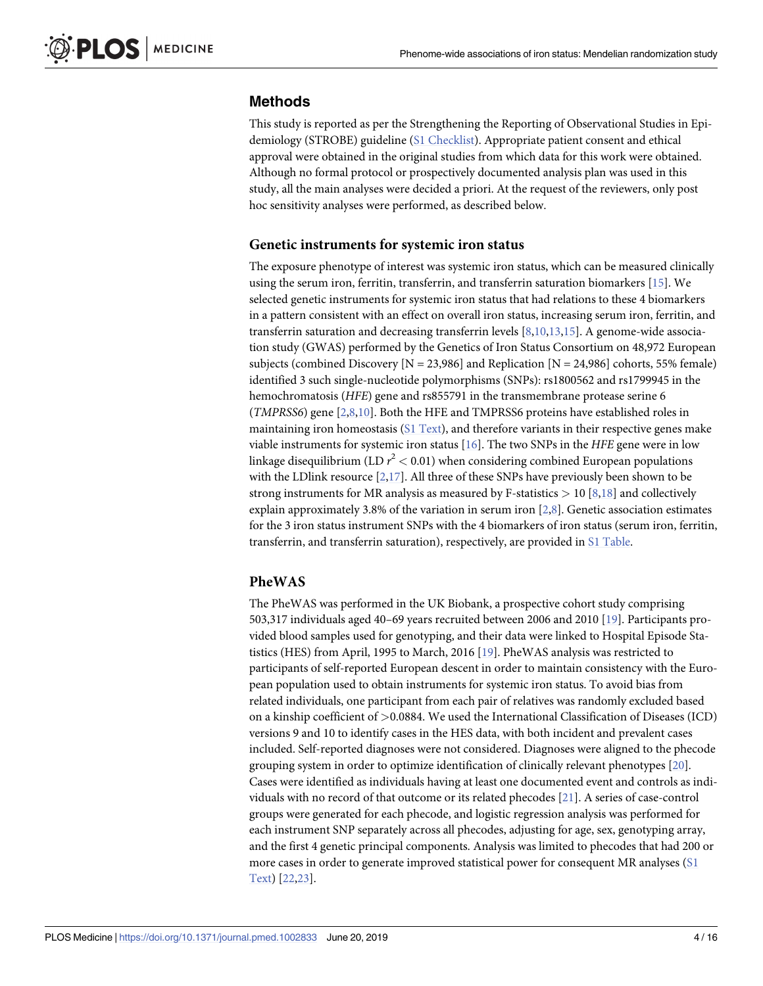#### <span id="page-3-0"></span>**Methods**

This study is reported as per the Strengthening the Reporting of Observational Studies in Epidemiology (STROBE) guideline (S1 [Checklist\)](#page-10-0). Appropriate patient consent and ethical approval were obtained in the original studies from which data for this work were obtained. Although no formal protocol or prospectively documented analysis plan was used in this study, all the main analyses were decided a priori. At the request of the reviewers, only post hoc sensitivity analyses were performed, as described below.

#### **Genetic instruments for systemic iron status**

The exposure phenotype of interest was systemic iron status, which can be measured clinically using the serum iron, ferritin, transferrin, and transferrin saturation biomarkers [[15\]](#page-12-0). We selected genetic instruments for systemic iron status that had relations to these 4 biomarkers in a pattern consistent with an effect on overall iron status, increasing serum iron, ferritin, and transferrin saturation and decreasing transferrin levels [[8,10](#page-12-0),[13,15\]](#page-12-0). A genome-wide association study (GWAS) performed by the Genetics of Iron Status Consortium on 48,972 European subjects (combined Discovery  $[N = 23,986]$  and Replication  $[N = 24,986]$  cohorts, 55% female) identified 3 such single-nucleotide polymorphisms (SNPs): rs1800562 and rs1799945 in the hemochromatosis (*HFE*) gene and rs855791 in the transmembrane protease serine 6 (*TMPRSS6*) gene [\[2,8,10\]](#page-12-0). Both the HFE and TMPRSS6 proteins have established roles in maintaining iron homeostasis (S1 [Text](#page-10-0)), and therefore variants in their respective genes make viable instruments for systemic iron status [[16](#page-12-0)]. The two SNPs in the *HFE* gene were in low linkage disequilibrium (LD *r* <sup>2</sup> *<* 0.01) when considering combined European populations with the LDlink resource  $[2,17]$  $[2,17]$  $[2,17]$  $[2,17]$ . All three of these SNPs have previously been shown to be strong instruments for MR analysis as measured by F-statistics *>* 10 [\[8](#page-12-0)[,18\]](#page-13-0) and collectively explain approximately 3.[8](#page-12-0)% of the variation in serum iron  $[2,8]$  $[2,8]$  $[2,8]$ . Genetic association estimates for the 3 iron status instrument SNPs with the 4 biomarkers of iron status (serum iron, ferritin, transferrin, and transferrin saturation), respectively, are provided in S1 [Table.](#page-10-0)

#### **PheWAS**

The PheWAS was performed in the UK Biobank, a prospective cohort study comprising 503,317 individuals aged 40–69 years recruited between 2006 and 2010 [\[19\]](#page-13-0). Participants provided blood samples used for genotyping, and their data were linked to Hospital Episode Statistics (HES) from April, 1995 to March, 2016 [[19](#page-13-0)]. PheWAS analysis was restricted to participants of self-reported European descent in order to maintain consistency with the European population used to obtain instruments for systemic iron status. To avoid bias from related individuals, one participant from each pair of relatives was randomly excluded based on a kinship coefficient of *>*0.0884. We used the International Classification of Diseases (ICD) versions 9 and 10 to identify cases in the HES data, with both incident and prevalent cases included. Self-reported diagnoses were not considered. Diagnoses were aligned to the phecode grouping system in order to optimize identification of clinically relevant phenotypes [[20](#page-13-0)]. Cases were identified as individuals having at least one documented event and controls as individuals with no record of that outcome or its related phecodes [\[21\]](#page-13-0). A series of case-control groups were generated for each phecode, and logistic regression analysis was performed for each instrument SNP separately across all phecodes, adjusting for age, sex, genotyping array, and the first 4 genetic principal components. Analysis was limited to phecodes that had 200 or more cases in order to generate improved statistical power for consequent MR analyses [\(S1](#page-10-0) [Text\)](#page-10-0) [\[22,23](#page-13-0)].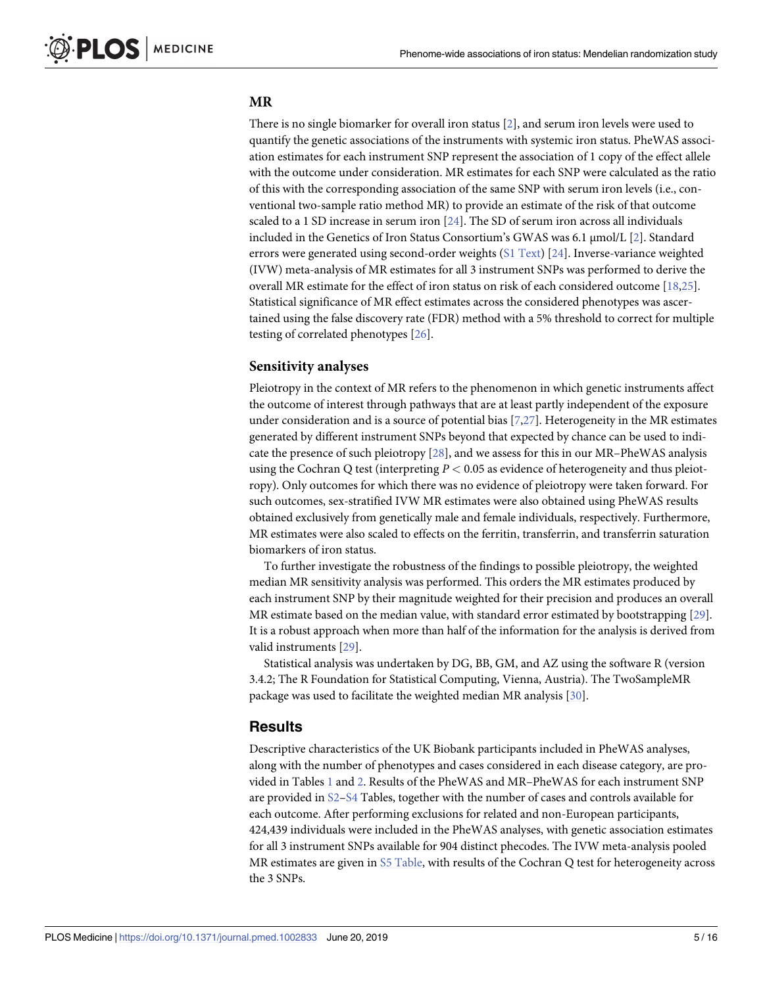#### <span id="page-4-0"></span>**MR**

There is no single biomarker for overall iron status [[2\]](#page-12-0), and serum iron levels were used to quantify the genetic associations of the instruments with systemic iron status. PheWAS association estimates for each instrument SNP represent the association of 1 copy of the effect allele with the outcome under consideration. MR estimates for each SNP were calculated as the ratio of this with the corresponding association of the same SNP with serum iron levels (i.e., conventional two-sample ratio method MR) to provide an estimate of the risk of that outcome scaled to a 1 SD increase in serum iron [\[24\]](#page-13-0). The SD of serum iron across all individuals included in the Genetics of Iron Status Consortium's GWAS was 6.1 μmol/L [\[2](#page-12-0)]. Standard errors were generated using second-order weights (S1 [Text\)](#page-10-0) [[24](#page-13-0)]. Inverse-variance weighted (IVW) meta-analysis of MR estimates for all 3 instrument SNPs was performed to derive the overall MR estimate for the effect of iron status on risk of each considered outcome [\[18,25\]](#page-13-0). Statistical significance of MR effect estimates across the considered phenotypes was ascertained using the false discovery rate (FDR) method with a 5% threshold to correct for multiple testing of correlated phenotypes [[26](#page-13-0)].

#### **Sensitivity analyses**

Pleiotropy in the context of MR refers to the phenomenon in which genetic instruments affect the outcome of interest through pathways that are at least partly independent of the exposure under consideration and is a source of potential bias [[7,](#page-12-0)[27](#page-13-0)]. Heterogeneity in the MR estimates generated by different instrument SNPs beyond that expected by chance can be used to indicate the presence of such pleiotropy [\[28\]](#page-13-0), and we assess for this in our MR–PheWAS analysis using the Cochran Q test (interpreting *P <* 0.05 as evidence of heterogeneity and thus pleiotropy). Only outcomes for which there was no evidence of pleiotropy were taken forward. For such outcomes, sex-stratified IVW MR estimates were also obtained using PheWAS results obtained exclusively from genetically male and female individuals, respectively. Furthermore, MR estimates were also scaled to effects on the ferritin, transferrin, and transferrin saturation biomarkers of iron status.

To further investigate the robustness of the findings to possible pleiotropy, the weighted median MR sensitivity analysis was performed. This orders the MR estimates produced by each instrument SNP by their magnitude weighted for their precision and produces an overall MR estimate based on the median value, with standard error estimated by bootstrapping [[29](#page-13-0)]. It is a robust approach when more than half of the information for the analysis is derived from valid instruments [\[29\]](#page-13-0).

Statistical analysis was undertaken by DG, BB, GM, and AZ using the software R (version 3.4.2; The R Foundation for Statistical Computing, Vienna, Austria). The TwoSampleMR package was used to facilitate the weighted median MR analysis [\[30\]](#page-13-0).

#### **Results**

Descriptive characteristics of the UK Biobank participants included in PheWAS analyses, along with the number of phenotypes and cases considered in each disease category, are provided in Tables [1](#page-5-0) and [2.](#page-5-0) Results of the PheWAS and MR–PheWAS for each instrument SNP are provided in [S2–S4](#page-10-0) Tables, together with the number of cases and controls available for each outcome. After performing exclusions for related and non-European participants, 424,439 individuals were included in the PheWAS analyses, with genetic association estimates for all 3 instrument SNPs available for 904 distinct phecodes. The IVW meta-analysis pooled MR estimates are given in  $S5$  [Table,](#page-10-0) with results of the Cochran Q test for heterogeneity across the 3 SNPs.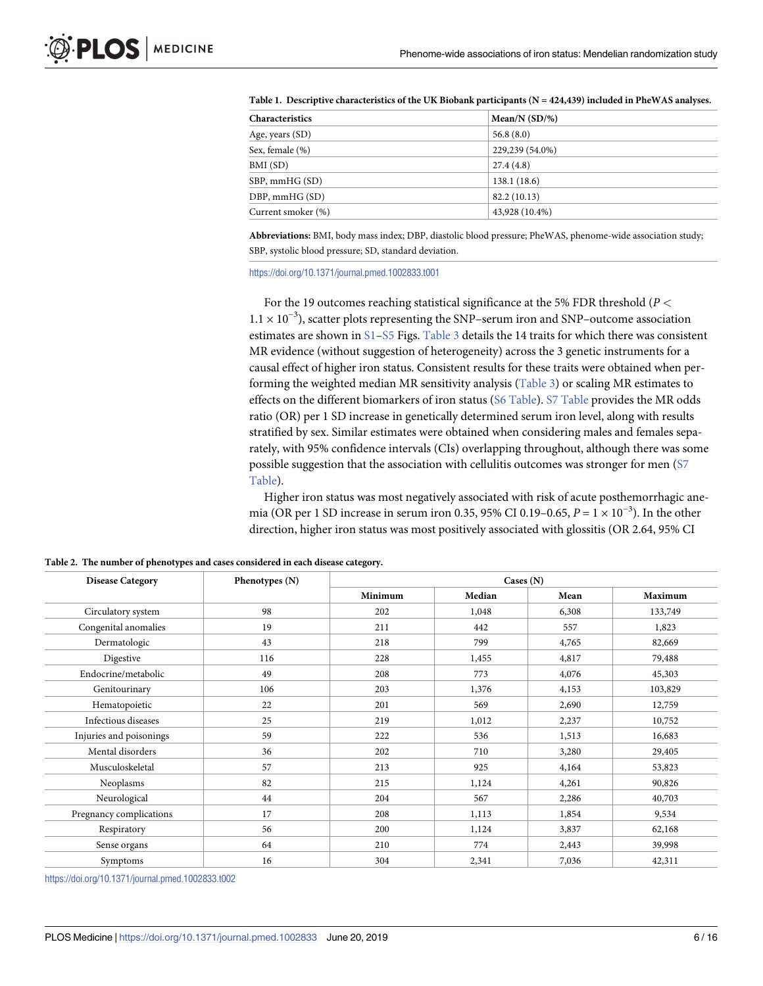| <b>Characteristics</b> | Mean/N $(SD/\%)$ |
|------------------------|------------------|
| Age, years (SD)        | 56.8(8.0)        |
| Sex, female (%)        | 229,239 (54.0%)  |
| BMI (SD)               | 27.4(4.8)        |
| SBP, mmHG (SD)         | 138.1(18.6)      |
| DBP, mmHG (SD)         | 82.2(10.13)      |
| Current smoker (%)     | 43,928 (10.4%)   |
|                        |                  |

<span id="page-5-0"></span>**[Table](#page-4-0) 1. Descriptive characteristics of the UK Biobank participants (N = 424,439) included in PheWAS analyses.**

**Abbreviations:** BMI, body mass index; DBP, diastolic blood pressure; PheWAS, phenome-wide association study; SBP, systolic blood pressure; SD, standard deviation.

<https://doi.org/10.1371/journal.pmed.1002833.t001>

For the 19 outcomes reaching statistical significance at the 5% FDR threshold (*P <* 1.1 × 10−<sup>3</sup> ), scatter plots representing the SNP–serum iron and SNP–outcome association estimates are shown in [S1–S5](#page-11-0) Figs. [Table](#page-7-0) 3 details the 14 traits for which there was consistent MR evidence (without suggestion of heterogeneity) across the 3 genetic instruments for a causal effect of higher iron status. Consistent results for these traits were obtained when performing the weighted median MR sensitivity analysis ([Table](#page-7-0) 3) or scaling MR estimates to effects on the different biomarkers of iron status (S6 [Table\)](#page-11-0). S7 [Table](#page-11-0) provides the MR odds ratio (OR) per 1 SD increase in genetically determined serum iron level, along with results stratified by sex. Similar estimates were obtained when considering males and females separately, with 95% confidence intervals (CIs) overlapping throughout, although there was some possible suggestion that the association with cellulitis outcomes was stronger for men [\(S7](#page-11-0) [Table](#page-11-0)).

Higher iron status was most negatively associated with risk of acute posthemorrhagic anemia (OR per 1 SD increase in serum iron 0.35, 95% CI 0.19–0.65,  $P = 1 \times 10^{-3}$ ). In the other direction, higher iron status was most positively associated with glossitis (OR 2.64, 95% CI

| <b>Disease Category</b> | Phenotypes (N) | $\text{Cases}(\text{N})$ |        |       |                |  |  |
|-------------------------|----------------|--------------------------|--------|-------|----------------|--|--|
|                         |                | Minimum                  | Median | Mean  | <b>Maximum</b> |  |  |
| Circulatory system      | 98             | 202                      | 1,048  | 6,308 | 133,749        |  |  |
| Congenital anomalies    | 19             | 211                      | 442    | 557   | 1,823          |  |  |
| Dermatologic            | 43             | 218                      | 799    | 4,765 | 82,669         |  |  |
| Digestive               | 116            | 228                      | 1,455  | 4,817 | 79,488         |  |  |
| Endocrine/metabolic     | 49             | 208                      | 773    | 4,076 | 45,303         |  |  |
| Genitourinary           | 106            | 203                      | 1,376  | 4,153 | 103,829        |  |  |
| Hematopoietic           | 22             | 201                      | 569    | 2,690 | 12,759         |  |  |
| Infectious diseases     | 25             | 219                      | 1,012  | 2,237 | 10,752         |  |  |
| Injuries and poisonings | 59             | 222                      | 536    | 1,513 | 16,683         |  |  |
| Mental disorders        | 36             | 202                      | 710    | 3,280 | 29,405         |  |  |
| Musculoskeletal         | 57             | 213                      | 925    | 4,164 | 53,823         |  |  |
| Neoplasms               | 82             | 215                      | 1,124  | 4,261 | 90,826         |  |  |
| Neurological            | 44             | 204                      | 567    | 2,286 | 40,703         |  |  |
| Pregnancy complications | 17             | 208                      | 1,113  | 1,854 | 9,534          |  |  |
| Respiratory             | 56             | 200                      | 1,124  | 3,837 | 62,168         |  |  |
| Sense organs            | 64             | 210                      | 774    | 2,443 | 39,998         |  |  |
| Symptoms                | 16             | 304                      | 2,341  | 7,036 | 42,311         |  |  |

**[Table](#page-4-0) 2. The number of phenotypes and cases considered in each disease category.**

<https://doi.org/10.1371/journal.pmed.1002833.t002>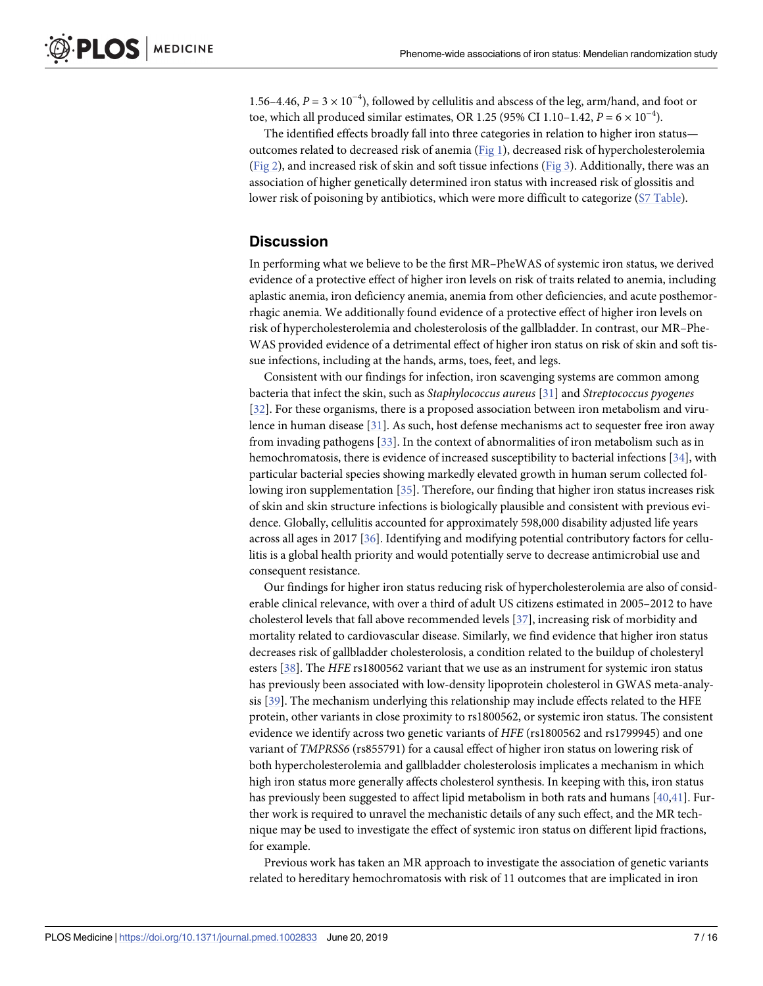<span id="page-6-0"></span>1.56–4.46,  $P = 3 \times 10^{-4}$ ), followed by cellulitis and abscess of the leg, arm/hand, and foot or toe, which all produced similar estimates, OR 1.25 (95% CI 1.10–1.42,  $P = 6 \times 10^{-4}$ ).

The identified effects broadly fall into three categories in relation to higher iron status outcomes related to decreased risk of anemia [\(Fig](#page-8-0) 1), decreased risk of hypercholesterolemia [\(Fig](#page-8-0) 2), and increased risk of skin and soft tissue infections ([Fig](#page-9-0) 3). Additionally, there was an association of higher genetically determined iron status with increased risk of glossitis and lower risk of poisoning by antibiotics, which were more difficult to categorize (S7 [Table\)](#page-11-0).

#### **Discussion**

In performing what we believe to be the first MR–PheWAS of systemic iron status, we derived evidence of a protective effect of higher iron levels on risk of traits related to anemia, including aplastic anemia, iron deficiency anemia, anemia from other deficiencies, and acute posthemorrhagic anemia. We additionally found evidence of a protective effect of higher iron levels on risk of hypercholesterolemia and cholesterolosis of the gallbladder. In contrast, our MR–Phe-WAS provided evidence of a detrimental effect of higher iron status on risk of skin and soft tissue infections, including at the hands, arms, toes, feet, and legs.

Consistent with our findings for infection, iron scavenging systems are common among bacteria that infect the skin, such as *Staphylococcus aureus* [[31](#page-13-0)] and *Streptococcus pyogenes* [\[32\]](#page-13-0). For these organisms, there is a proposed association between iron metabolism and virulence in human disease [[31](#page-13-0)]. As such, host defense mechanisms act to sequester free iron away from invading pathogens [[33](#page-13-0)]. In the context of abnormalities of iron metabolism such as in hemochromatosis, there is evidence of increased susceptibility to bacterial infections [\[34\]](#page-14-0), with particular bacterial species showing markedly elevated growth in human serum collected following iron supplementation [[35\]](#page-14-0). Therefore, our finding that higher iron status increases risk of skin and skin structure infections is biologically plausible and consistent with previous evidence. Globally, cellulitis accounted for approximately 598,000 disability adjusted life years across all ages in 2017 [\[36\]](#page-14-0). Identifying and modifying potential contributory factors for cellulitis is a global health priority and would potentially serve to decrease antimicrobial use and consequent resistance.

Our findings for higher iron status reducing risk of hypercholesterolemia are also of considerable clinical relevance, with over a third of adult US citizens estimated in 2005–2012 to have cholesterol levels that fall above recommended levels [\[37\]](#page-14-0), increasing risk of morbidity and mortality related to cardiovascular disease. Similarly, we find evidence that higher iron status decreases risk of gallbladder cholesterolosis, a condition related to the buildup of cholesteryl esters [[38](#page-14-0)]. The *HFE* rs1800562 variant that we use as an instrument for systemic iron status has previously been associated with low-density lipoprotein cholesterol in GWAS meta-analysis [\[39\]](#page-14-0). The mechanism underlying this relationship may include effects related to the HFE protein, other variants in close proximity to rs1800562, or systemic iron status. The consistent evidence we identify across two genetic variants of *HFE* (rs1800562 and rs1799945) and one variant of *TMPRSS6* (rs855791) for a causal effect of higher iron status on lowering risk of both hypercholesterolemia and gallbladder cholesterolosis implicates a mechanism in which high iron status more generally affects cholesterol synthesis. In keeping with this, iron status has previously been suggested to affect lipid metabolism in both rats and humans [\[40,41\]](#page-14-0). Further work is required to unravel the mechanistic details of any such effect, and the MR technique may be used to investigate the effect of systemic iron status on different lipid fractions, for example.

Previous work has taken an MR approach to investigate the association of genetic variants related to hereditary hemochromatosis with risk of 11 outcomes that are implicated in iron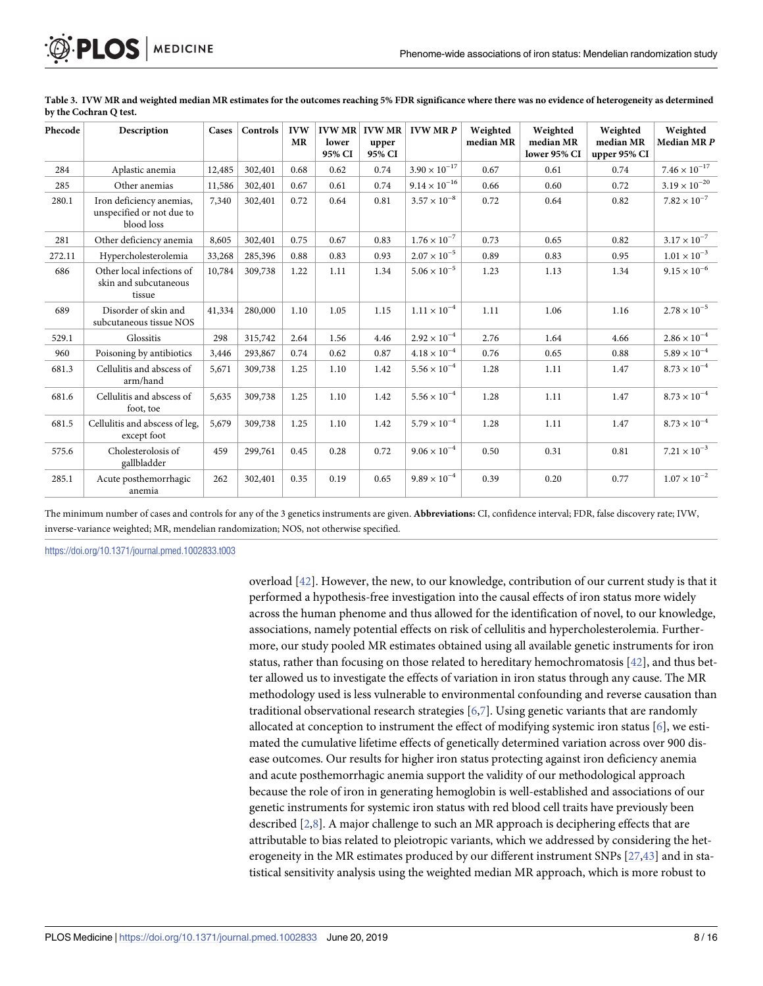| Phecode | Description                                                         | Cases  | Controls | <b>IVW</b><br><b>MR</b> | <b>IVW MR</b><br>lower<br>95% CI | <b>IVW MR</b><br>upper<br>95% CI | <b>IVW MRP</b>         | Weighted<br>median MR | Weighted<br>median MR<br>lower 95% CI | Weighted<br>median MR<br>upper 95% CI | Weighted<br>Median MRP |
|---------|---------------------------------------------------------------------|--------|----------|-------------------------|----------------------------------|----------------------------------|------------------------|-----------------------|---------------------------------------|---------------------------------------|------------------------|
| 284     | Aplastic anemia                                                     | 12,485 | 302,401  | 0.68                    | 0.62                             | 0.74                             | $3.90\times10^{-17}$   | 0.67                  | 0.61                                  | 0.74                                  | $7.46\times10^{-17}$   |
| 285     | Other anemias                                                       | 11,586 | 302,401  | 0.67                    | 0.61                             | 0.74                             | $9.14 \times 10^{-16}$ | 0.66                  | 0.60                                  | 0.72                                  | $3.19\times10^{-20}$   |
| 280.1   | Iron deficiency anemias,<br>unspecified or not due to<br>blood loss | 7,340  | 302,401  | 0.72                    | 0.64                             | 0.81                             | $3.57 \times 10^{-8}$  | 0.72                  | 0.64                                  | 0.82                                  | $7.82 \times 10^{-7}$  |
| 281     | Other deficiency anemia                                             | 8,605  | 302,401  | 0.75                    | 0.67                             | 0.83                             | $1.76\times10^{-7}$    | 0.73                  | 0.65                                  | 0.82                                  | $3.17\times10^{-7}$    |
| 272.11  | Hypercholesterolemia                                                | 33,268 | 285,396  | 0.88                    | 0.83                             | 0.93                             | $2.07 \times 10^{-5}$  | 0.89                  | 0.83                                  | 0.95                                  | $1.01\times10^{-3}$    |
| 686     | Other local infections of<br>skin and subcutaneous<br>tissue        | 10,784 | 309,738  | 1.22                    | 1.11                             | 1.34                             | $5.06 \times 10^{-5}$  | 1.23                  | 1.13                                  | 1.34                                  | $9.15 \times 10^{-6}$  |
| 689     | Disorder of skin and<br>subcutaneous tissue NOS                     | 41,334 | 280,000  | 1.10                    | 1.05                             | 1.15                             | $1.11 \times 10^{-4}$  | 1.11                  | 1.06                                  | 1.16                                  | $2.78 \times 10^{-5}$  |
| 529.1   | Glossitis                                                           | 298    | 315,742  | 2.64                    | 1.56                             | 4.46                             | $2.92 \times 10^{-4}$  | 2.76                  | 1.64                                  | 4.66                                  | $2.86\times10^{-4}$    |
| 960     | Poisoning by antibiotics                                            | 3,446  | 293,867  | 0.74                    | 0.62                             | 0.87                             | $4.18 \times 10^{-4}$  | 0.76                  | 0.65                                  | 0.88                                  | $5.89\times10^{-4}$    |
| 681.3   | Cellulitis and abscess of<br>arm/hand                               | 5,671  | 309,738  | 1.25                    | 1.10                             | 1.42                             | $5.56 \times 10^{-4}$  | 1.28                  | 1.11                                  | 1.47                                  | $8.73\times10^{-4}$    |
| 681.6   | Cellulitis and abscess of<br>foot, toe                              | 5,635  | 309,738  | 1.25                    | 1.10                             | 1.42                             | $5.56 \times 10^{-4}$  | 1.28                  | 1.11                                  | 1.47                                  | $8.73\times10^{-4}$    |
| 681.5   | Cellulitis and abscess of leg,<br>except foot                       | 5,679  | 309,738  | 1.25                    | 1.10                             | 1.42                             | $5.79 \times 10^{-4}$  | 1.28                  | 1.11                                  | 1.47                                  | $8.73\times10^{-4}$    |
| 575.6   | Cholesterolosis of<br>gallbladder                                   | 459    | 299,761  | 0.45                    | 0.28                             | 0.72                             | $9.06 \times 10^{-4}$  | 0.50                  | 0.31                                  | 0.81                                  | $7.21\times10^{-3}$    |
| 285.1   | Acute posthemorrhagic<br>anemia                                     | 262    | 302,401  | 0.35                    | 0.19                             | 0.65                             | $9.89 \times 10^{-4}$  | 0.39                  | 0.20                                  | 0.77                                  | $1.07\times10^{-2}$    |

<span id="page-7-0"></span>[Table](#page-5-0) 3. IVW MR and weighted median MR estimates for the outcomes reaching 5% FDR significance where there was no evidence of heterogeneity as determined **by the Cochran Q test.**

The minimum number of cases and controls for any of the 3 genetics instruments are given. **Abbreviations:** CI, confidence interval; FDR, false discovery rate; IVW, inverse-variance weighted; MR, mendelian randomization; NOS, not otherwise specified.

<https://doi.org/10.1371/journal.pmed.1002833.t003>

overload [\[42\]](#page-14-0). However, the new, to our knowledge, contribution of our current study is that it performed a hypothesis-free investigation into the causal effects of iron status more widely across the human phenome and thus allowed for the identification of novel, to our knowledge, associations, namely potential effects on risk of cellulitis and hypercholesterolemia. Furthermore, our study pooled MR estimates obtained using all available genetic instruments for iron status, rather than focusing on those related to hereditary hemochromatosis  $[42]$ , and thus better allowed us to investigate the effects of variation in iron status through any cause. The MR methodology used is less vulnerable to environmental confounding and reverse causation than traditional observational research strategies  $[6,7]$ . Using genetic variants that are randomly allocated at conception to instrument the effect of modifying systemic iron status [\[6\]](#page-12-0), we estimated the cumulative lifetime effects of genetically determined variation across over 900 disease outcomes. Our results for higher iron status protecting against iron deficiency anemia and acute posthemorrhagic anemia support the validity of our methodological approach because the role of iron in generating hemoglobin is well-established and associations of our genetic instruments for systemic iron status with red blood cell traits have previously been described [[2,8\]](#page-12-0). A major challenge to such an MR approach is deciphering effects that are attributable to bias related to pleiotropic variants, which we addressed by considering the heterogeneity in the MR estimates produced by our different instrument SNPs [\[27,](#page-13-0)[43\]](#page-14-0) and in statistical sensitivity analysis using the weighted median MR approach, which is more robust to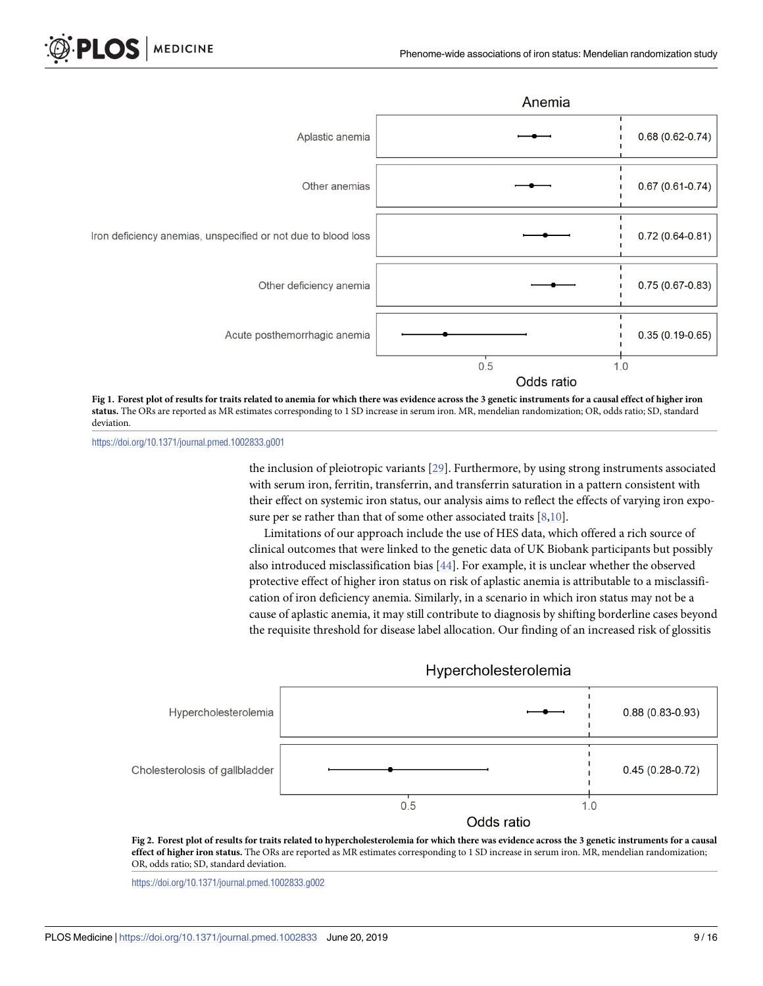<span id="page-8-0"></span>



[Fig](#page-6-0) 1. Forest plot of results for traits related to anemia for which there was evidence across the 3 genetic instruments for a causal effect of higher iron **status.** The ORs are reported as MR estimates corresponding to 1 SD increase in serum iron. MR, mendelian randomization; OR, odds ratio; SD, standard deviation.

<https://doi.org/10.1371/journal.pmed.1002833.g001>

the inclusion of pleiotropic variants [[29](#page-13-0)]. Furthermore, by using strong instruments associated with serum iron, ferritin, transferrin, and transferrin saturation in a pattern consistent with their effect on systemic iron status, our analysis aims to reflect the effects of varying iron exposure per se rather than that of some other associated traits  $[8,10]$ .

Limitations of our approach include the use of HES data, which offered a rich source of clinical outcomes that were linked to the genetic data of UK Biobank participants but possibly also introduced misclassification bias [\[44\]](#page-14-0). For example, it is unclear whether the observed protective effect of higher iron status on risk of aplastic anemia is attributable to a misclassification of iron deficiency anemia. Similarly, in a scenario in which iron status may not be a cause of aplastic anemia, it may still contribute to diagnosis by shifting borderline cases beyond the requisite threshold for disease label allocation. Our finding of an increased risk of glossitis



[Fig](#page-6-0) 2. Forest plot of results for traits related to hypercholesterolemia for which there was evidence across the 3 genetic instruments for a causal **effect of higher iron status.** The ORs are reported as MR estimates corresponding to 1 SD increase in serum iron. MR, mendelian randomization; OR, odds ratio; SD, standard deviation.

<https://doi.org/10.1371/journal.pmed.1002833.g002>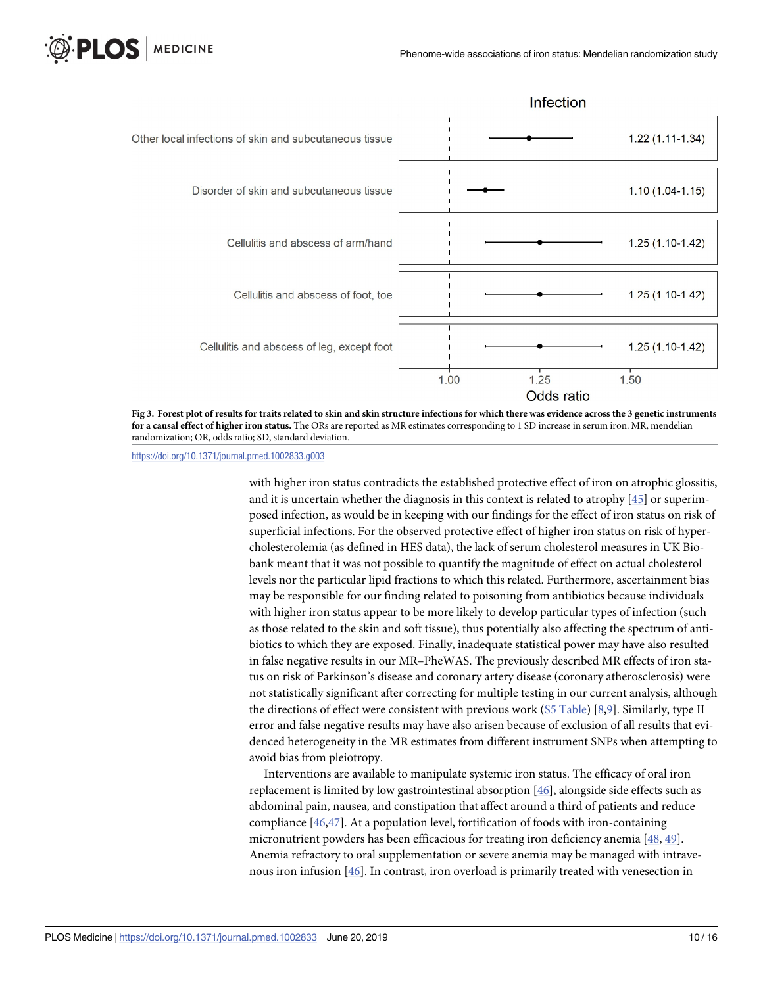<span id="page-9-0"></span>



<https://doi.org/10.1371/journal.pmed.1002833.g003>

with higher iron status contradicts the established protective effect of iron on atrophic glossitis, and it is uncertain whether the diagnosis in this context is related to atrophy [\[45\]](#page-14-0) or superimposed infection, as would be in keeping with our findings for the effect of iron status on risk of superficial infections. For the observed protective effect of higher iron status on risk of hypercholesterolemia (as defined in HES data), the lack of serum cholesterol measures in UK Biobank meant that it was not possible to quantify the magnitude of effect on actual cholesterol levels nor the particular lipid fractions to which this related. Furthermore, ascertainment bias may be responsible for our finding related to poisoning from antibiotics because individuals with higher iron status appear to be more likely to develop particular types of infection (such as those related to the skin and soft tissue), thus potentially also affecting the spectrum of antibiotics to which they are exposed. Finally, inadequate statistical power may have also resulted in false negative results in our MR–PheWAS. The previously described MR effects of iron status on risk of Parkinson's disease and coronary artery disease (coronary atherosclerosis) were not statistically significant after correcting for multiple testing in our current analysis, although the directions of effect were consistent with previous work (S5 [Table\)](#page-10-0) [\[8,9\]](#page-12-0). Similarly, type II error and false negative results may have also arisen because of exclusion of all results that evidenced heterogeneity in the MR estimates from different instrument SNPs when attempting to avoid bias from pleiotropy.

Interventions are available to manipulate systemic iron status. The efficacy of oral iron replacement is limited by low gastrointestinal absorption [\[46\]](#page-14-0), alongside side effects such as abdominal pain, nausea, and constipation that affect around a third of patients and reduce compliance [[46,47\]](#page-14-0). At a population level, fortification of foods with iron-containing micronutrient powders has been efficacious for treating iron deficiency anemia [[48](#page-14-0), [49](#page-14-0)]. Anemia refractory to oral supplementation or severe anemia may be managed with intravenous iron infusion [[46](#page-14-0)]. In contrast, iron overload is primarily treated with venesection in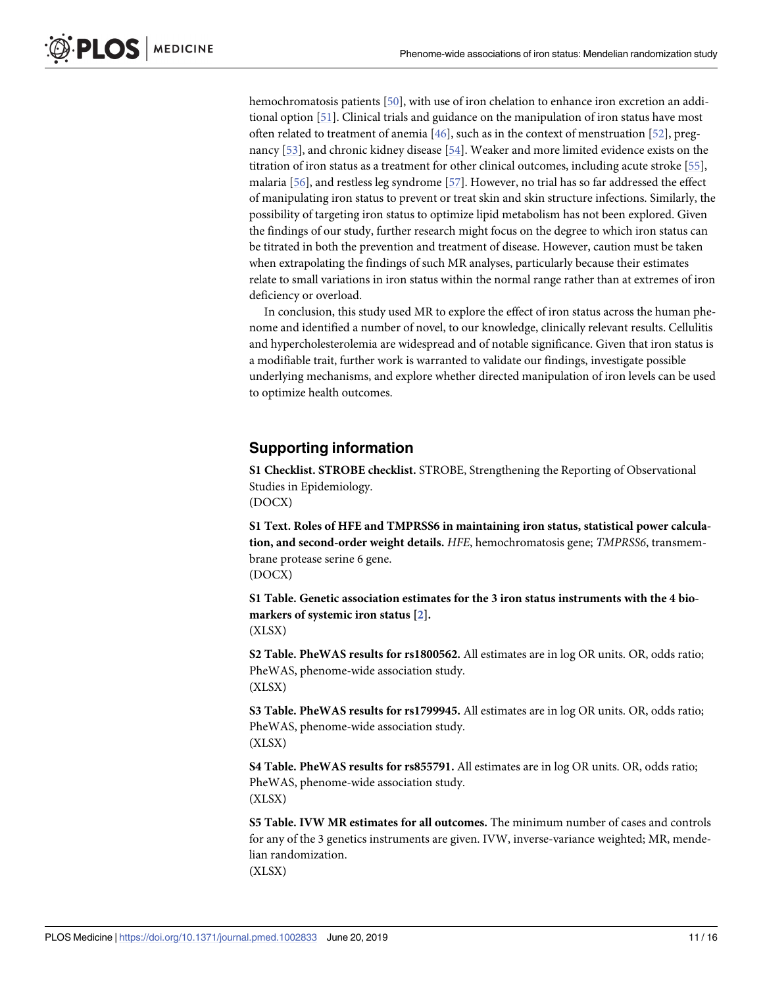<span id="page-10-0"></span>hemochromatosis patients [[50](#page-14-0)], with use of iron chelation to enhance iron excretion an additional option [\[51\]](#page-14-0). Clinical trials and guidance on the manipulation of iron status have most often related to treatment of anemia [[46](#page-14-0)], such as in the context of menstruation [[52](#page-14-0)], pregnancy [[53](#page-15-0)], and chronic kidney disease [\[54\]](#page-15-0). Weaker and more limited evidence exists on the titration of iron status as a treatment for other clinical outcomes, including acute stroke [[55](#page-15-0)], malaria [[56](#page-15-0)], and restless leg syndrome [\[57\]](#page-15-0). However, no trial has so far addressed the effect of manipulating iron status to prevent or treat skin and skin structure infections. Similarly, the possibility of targeting iron status to optimize lipid metabolism has not been explored. Given the findings of our study, further research might focus on the degree to which iron status can be titrated in both the prevention and treatment of disease. However, caution must be taken when extrapolating the findings of such MR analyses, particularly because their estimates relate to small variations in iron status within the normal range rather than at extremes of iron deficiency or overload.

In conclusion, this study used MR to explore the effect of iron status across the human phenome and identified a number of novel, to our knowledge, clinically relevant results. Cellulitis and hypercholesterolemia are widespread and of notable significance. Given that iron status is a modifiable trait, further work is warranted to validate our findings, investigate possible underlying mechanisms, and explore whether directed manipulation of iron levels can be used to optimize health outcomes.

#### **Supporting information**

**S1 [Checklist.](http://journals.plos.org/plosmedicine/article/asset?unique&id=info:doi/10.1371/journal.pmed.1002833.s001) STROBE checklist.** STROBE, Strengthening the Reporting of Observational Studies in Epidemiology. (DOCX)

**S1 [Text](http://journals.plos.org/plosmedicine/article/asset?unique&id=info:doi/10.1371/journal.pmed.1002833.s002). Roles of HFE and TMPRSS6 in maintaining iron status, statistical power calculation, and second-order weight details.** *HFE*, hemochromatosis gene; *TMPRSS6*, transmembrane protease serine 6 gene. (DOCX)

**S1 [Table.](http://journals.plos.org/plosmedicine/article/asset?unique&id=info:doi/10.1371/journal.pmed.1002833.s003) Genetic association estimates for the 3 iron status instruments with the 4 biomarkers of systemic iron status [\[2](#page-12-0)].** (XLSX)

**S2 [Table.](http://journals.plos.org/plosmedicine/article/asset?unique&id=info:doi/10.1371/journal.pmed.1002833.s004) PheWAS results for rs1800562.** All estimates are in log OR units. OR, odds ratio; PheWAS, phenome-wide association study. (XLSX)

**S3 [Table.](http://journals.plos.org/plosmedicine/article/asset?unique&id=info:doi/10.1371/journal.pmed.1002833.s005) PheWAS results for rs1799945.** All estimates are in log OR units. OR, odds ratio; PheWAS, phenome-wide association study. (XLSX)

**S4 [Table.](http://journals.plos.org/plosmedicine/article/asset?unique&id=info:doi/10.1371/journal.pmed.1002833.s006) PheWAS results for rs855791.** All estimates are in log OR units. OR, odds ratio; PheWAS, phenome-wide association study. (XLSX)

**S5 [Table.](http://journals.plos.org/plosmedicine/article/asset?unique&id=info:doi/10.1371/journal.pmed.1002833.s007) IVW MR estimates for all outcomes.** The minimum number of cases and controls for any of the 3 genetics instruments are given. IVW, inverse-variance weighted; MR, mendelian randomization. (XLSX)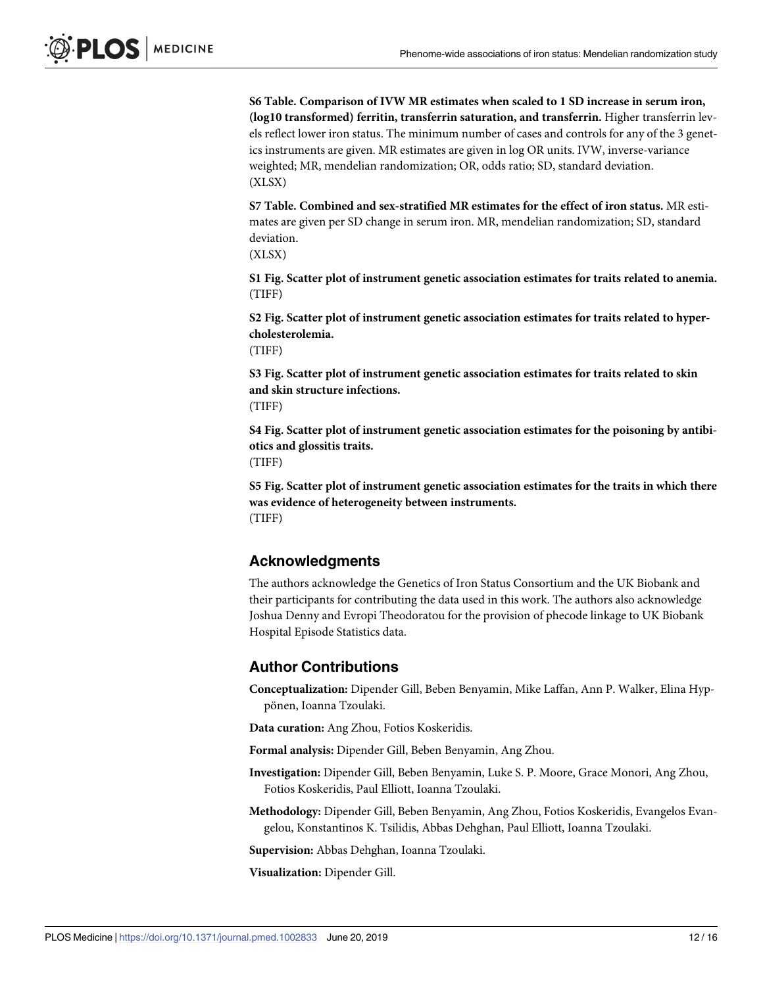<span id="page-11-0"></span>**S6 [Table.](http://journals.plos.org/plosmedicine/article/asset?unique&id=info:doi/10.1371/journal.pmed.1002833.s008) Comparison of IVW MR estimates when scaled to 1 SD increase in serum iron, (log10 transformed) ferritin, transferrin saturation, and transferrin.** Higher transferrin levels reflect lower iron status. The minimum number of cases and controls for any of the 3 genetics instruments are given. MR estimates are given in log OR units. IVW, inverse-variance weighted; MR, mendelian randomization; OR, odds ratio; SD, standard deviation. (XLSX)

**S7 [Table.](http://journals.plos.org/plosmedicine/article/asset?unique&id=info:doi/10.1371/journal.pmed.1002833.s009) Combined and sex-stratified MR estimates for the effect of iron status.** MR estimates are given per SD change in serum iron. MR, mendelian randomization; SD, standard deviation.

(XLSX)

**S1 [Fig](http://journals.plos.org/plosmedicine/article/asset?unique&id=info:doi/10.1371/journal.pmed.1002833.s010). Scatter plot of instrument genetic association estimates for traits related to anemia.** (TIFF)

**S2 [Fig](http://journals.plos.org/plosmedicine/article/asset?unique&id=info:doi/10.1371/journal.pmed.1002833.s011). Scatter plot of instrument genetic association estimates for traits related to hypercholesterolemia.**

(TIFF)

**S3 [Fig](http://journals.plos.org/plosmedicine/article/asset?unique&id=info:doi/10.1371/journal.pmed.1002833.s012). Scatter plot of instrument genetic association estimates for traits related to skin and skin structure infections.**

(TIFF)

**S4 [Fig](http://journals.plos.org/plosmedicine/article/asset?unique&id=info:doi/10.1371/journal.pmed.1002833.s013). Scatter plot of instrument genetic association estimates for the poisoning by antibiotics and glossitis traits.**

(TIFF)

**S5 [Fig](http://journals.plos.org/plosmedicine/article/asset?unique&id=info:doi/10.1371/journal.pmed.1002833.s014). Scatter plot of instrument genetic association estimates for the traits in which there was evidence of heterogeneity between instruments.** (TIFF)

#### **Acknowledgments**

The authors acknowledge the Genetics of Iron Status Consortium and the UK Biobank and their participants for contributing the data used in this work. The authors also acknowledge Joshua Denny and Evropi Theodoratou for the provision of phecode linkage to UK Biobank Hospital Episode Statistics data.

#### **Author Contributions**

**Conceptualization:** Dipender Gill, Beben Benyamin, Mike Laffan, Ann P. Walker, Elina Hyppönen, Ioanna Tzoulaki.

**Data curation:** Ang Zhou, Fotios Koskeridis.

**Formal analysis:** Dipender Gill, Beben Benyamin, Ang Zhou.

**Investigation:** Dipender Gill, Beben Benyamin, Luke S. P. Moore, Grace Monori, Ang Zhou, Fotios Koskeridis, Paul Elliott, Ioanna Tzoulaki.

**Methodology:** Dipender Gill, Beben Benyamin, Ang Zhou, Fotios Koskeridis, Evangelos Evangelou, Konstantinos K. Tsilidis, Abbas Dehghan, Paul Elliott, Ioanna Tzoulaki.

**Supervision:** Abbas Dehghan, Ioanna Tzoulaki.

**Visualization:** Dipender Gill.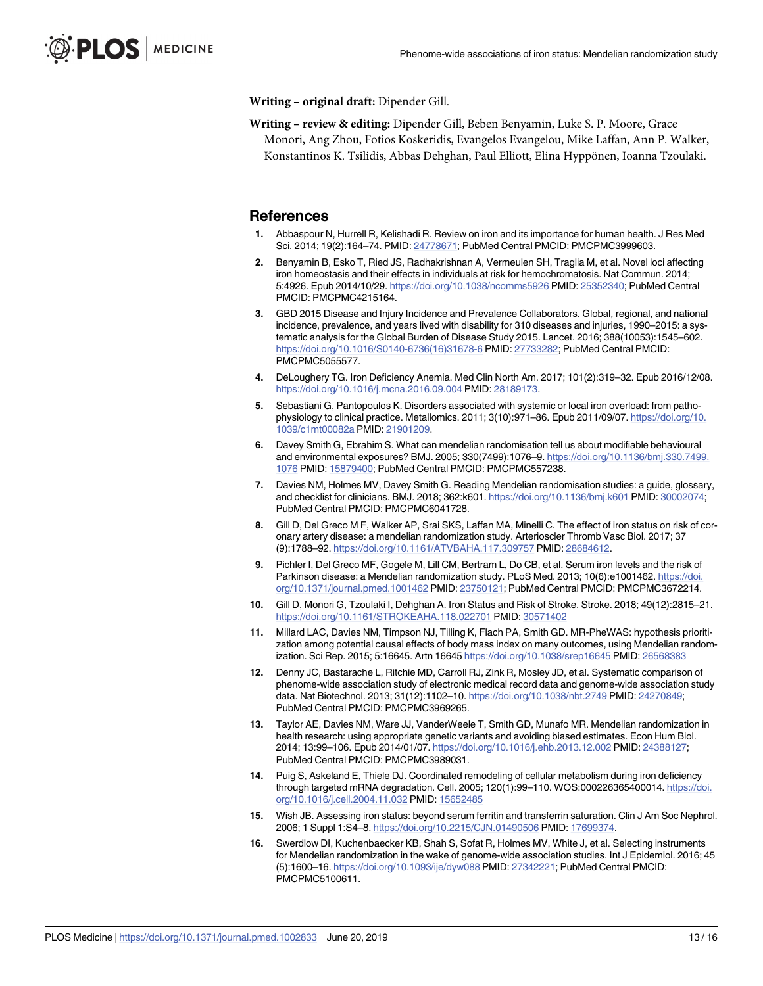<span id="page-12-0"></span>**Writing – original draft:** Dipender Gill.

**Writing – review & editing:** Dipender Gill, Beben Benyamin, Luke S. P. Moore, Grace Monori, Ang Zhou, Fotios Koskeridis, Evangelos Evangelou, Mike Laffan, Ann P. Walker, Konstantinos K. Tsilidis, Abbas Dehghan, Paul Elliott, Elina Hyppönen, Ioanna Tzoulaki.

#### **References**

- **[1](#page-2-0).** Abbaspour N, Hurrell R, Kelishadi R. Review on iron and its importance for human health. J Res Med Sci. 2014; 19(2):164–74. PMID: [24778671](http://www.ncbi.nlm.nih.gov/pubmed/24778671); PubMed Central PMCID: PMCPMC3999603.
- **[2](#page-2-0).** Benyamin B, Esko T, Ried JS, Radhakrishnan A, Vermeulen SH, Traglia M, et al. Novel loci affecting iron homeostasis and their effects in individuals at risk for hemochromatosis. Nat Commun. 2014; 5:4926. Epub 2014/10/29. <https://doi.org/10.1038/ncomms5926> PMID: [25352340](http://www.ncbi.nlm.nih.gov/pubmed/25352340); PubMed Central PMCID: PMCPMC4215164.
- **[3](#page-2-0).** GBD 2015 Disease and Injury Incidence and Prevalence Collaborators. Global, regional, and national incidence, prevalence, and years lived with disability for 310 diseases and injuries, 1990–2015: a systematic analysis for the Global Burden of Disease Study 2015. Lancet. 2016; 388(10053):1545–602. [https://doi.org/10.1016/S0140-6736\(16\)31678-6](https://doi.org/10.1016/S0140-6736(16)31678-6) PMID: [27733282](http://www.ncbi.nlm.nih.gov/pubmed/27733282); PubMed Central PMCID: PMCPMC5055577.
- **[4](#page-2-0).** DeLoughery TG. Iron Deficiency Anemia. Med Clin North Am. 2017; 101(2):319–32. Epub 2016/12/08. <https://doi.org/10.1016/j.mcna.2016.09.004> PMID: [28189173](http://www.ncbi.nlm.nih.gov/pubmed/28189173).
- **[5](#page-2-0).** Sebastiani G, Pantopoulos K. Disorders associated with systemic or local iron overload: from pathophysiology to clinical practice. Metallomics. 2011; 3(10):971–86. Epub 2011/09/07. [https://doi.org/10.](https://doi.org/10.1039/c1mt00082a) [1039/c1mt00082a](https://doi.org/10.1039/c1mt00082a) PMID: [21901209.](http://www.ncbi.nlm.nih.gov/pubmed/21901209)
- **[6](#page-2-0).** Davey Smith G, Ebrahim S. What can mendelian randomisation tell us about modifiable behavioural and environmental exposures? BMJ. 2005; 330(7499):1076–9. [https://doi.org/10.1136/bmj.330.7499.](https://doi.org/10.1136/bmj.330.7499.1076) [1076](https://doi.org/10.1136/bmj.330.7499.1076) PMID: [15879400](http://www.ncbi.nlm.nih.gov/pubmed/15879400); PubMed Central PMCID: PMCPMC557238.
- **[7](#page-2-0).** Davies NM, Holmes MV, Davey Smith G. Reading Mendelian randomisation studies: a guide, glossary, and checklist for clinicians. BMJ. 2018; 362:k601. <https://doi.org/10.1136/bmj.k601> PMID: [30002074](http://www.ncbi.nlm.nih.gov/pubmed/30002074); PubMed Central PMCID: PMCPMC6041728.
- **[8](#page-2-0).** Gill D, Del Greco M F, Walker AP, Srai SKS, Laffan MA, Minelli C. The effect of iron status on risk of coronary artery disease: a mendelian randomization study. Arterioscler Thromb Vasc Biol. 2017; 37 (9):1788–92. <https://doi.org/10.1161/ATVBAHA.117.309757> PMID: [28684612](http://www.ncbi.nlm.nih.gov/pubmed/28684612).
- **[9](#page-9-0).** Pichler I, Del Greco MF, Gogele M, Lill CM, Bertram L, Do CB, et al. Serum iron levels and the risk of Parkinson disease: a Mendelian randomization study. PLoS Med. 2013; 10(6):e1001462. [https://doi.](https://doi.org/10.1371/journal.pmed.1001462) [org/10.1371/journal.pmed.1001462](https://doi.org/10.1371/journal.pmed.1001462) PMID: [23750121](http://www.ncbi.nlm.nih.gov/pubmed/23750121); PubMed Central PMCID: PMCPMC3672214.
- **[10](#page-2-0).** Gill D, Monori G, Tzoulaki I, Dehghan A. Iron Status and Risk of Stroke. Stroke. 2018; 49(12):2815–21. <https://doi.org/10.1161/STROKEAHA.118.022701> PMID: [30571402](http://www.ncbi.nlm.nih.gov/pubmed/30571402)
- **[11](#page-2-0).** Millard LAC, Davies NM, Timpson NJ, Tilling K, Flach PA, Smith GD. MR-PheWAS: hypothesis prioritization among potential causal effects of body mass index on many outcomes, using Mendelian randomization. Sci Rep. 2015; 5:16645. Artn 16645 <https://doi.org/10.1038/srep16645> PMID: [26568383](http://www.ncbi.nlm.nih.gov/pubmed/26568383)
- **[12](#page-2-0).** Denny JC, Bastarache L, Ritchie MD, Carroll RJ, Zink R, Mosley JD, et al. Systematic comparison of phenome-wide association study of electronic medical record data and genome-wide association study data. Nat Biotechnol. 2013; 31(12):1102–10. <https://doi.org/10.1038/nbt.2749> PMID: [24270849;](http://www.ncbi.nlm.nih.gov/pubmed/24270849) PubMed Central PMCID: PMCPMC3969265.
- **[13](#page-2-0).** Taylor AE, Davies NM, Ware JJ, VanderWeele T, Smith GD, Munafo MR. Mendelian randomization in health research: using appropriate genetic variants and avoiding biased estimates. Econ Hum Biol. 2014; 13:99–106. Epub 2014/01/07. <https://doi.org/10.1016/j.ehb.2013.12.002> PMID: [24388127](http://www.ncbi.nlm.nih.gov/pubmed/24388127); PubMed Central PMCID: PMCPMC3989031.
- **[14](#page-2-0).** Puig S, Askeland E, Thiele DJ. Coordinated remodeling of cellular metabolism during iron deficiency through targeted mRNA degradation. Cell. 2005; 120(1):99–110. WOS:000226365400014. [https://doi.](https://doi.org/10.1016/j.cell.2004.11.032) [org/10.1016/j.cell.2004.11.032](https://doi.org/10.1016/j.cell.2004.11.032) PMID: [15652485](http://www.ncbi.nlm.nih.gov/pubmed/15652485)
- **[15](#page-3-0).** Wish JB. Assessing iron status: beyond serum ferritin and transferrin saturation. Clin J Am Soc Nephrol. 2006; 1 Suppl 1:S4–8. <https://doi.org/10.2215/CJN.01490506> PMID: [17699374](http://www.ncbi.nlm.nih.gov/pubmed/17699374).
- **[16](#page-3-0).** Swerdlow DI, Kuchenbaecker KB, Shah S, Sofat R, Holmes MV, White J, et al. Selecting instruments for Mendelian randomization in the wake of genome-wide association studies. Int J Epidemiol. 2016; 45 (5):1600–16. <https://doi.org/10.1093/ije/dyw088> PMID: [27342221;](http://www.ncbi.nlm.nih.gov/pubmed/27342221) PubMed Central PMCID: PMCPMC5100611.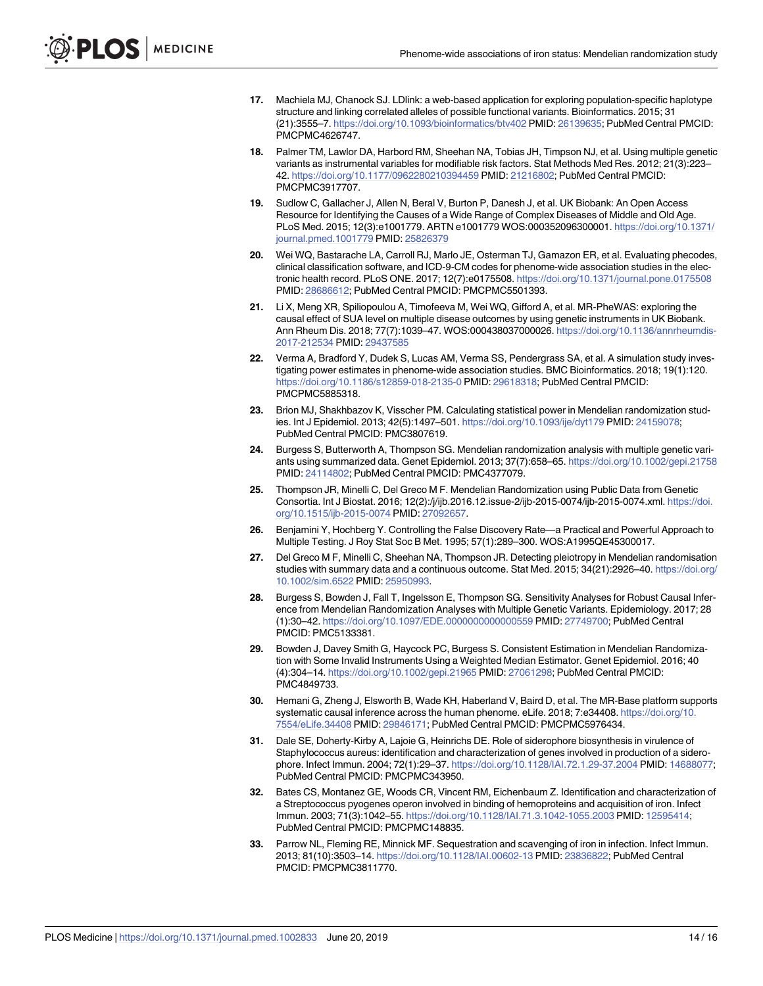- <span id="page-13-0"></span>**[17](#page-3-0).** Machiela MJ, Chanock SJ. LDlink: a web-based application for exploring population-specific haplotype structure and linking correlated alleles of possible functional variants. Bioinformatics. 2015; 31 (21):3555–7. <https://doi.org/10.1093/bioinformatics/btv402> PMID: [26139635;](http://www.ncbi.nlm.nih.gov/pubmed/26139635) PubMed Central PMCID: PMCPMC4626747.
- **[18](#page-3-0).** Palmer TM, Lawlor DA, Harbord RM, Sheehan NA, Tobias JH, Timpson NJ, et al. Using multiple genetic variants as instrumental variables for modifiable risk factors. Stat Methods Med Res. 2012; 21(3):223– 42. <https://doi.org/10.1177/0962280210394459> PMID: [21216802;](http://www.ncbi.nlm.nih.gov/pubmed/21216802) PubMed Central PMCID: PMCPMC3917707.
- **[19](#page-3-0).** Sudlow C, Gallacher J, Allen N, Beral V, Burton P, Danesh J, et al. UK Biobank: An Open Access Resource for Identifying the Causes of a Wide Range of Complex Diseases of Middle and Old Age. PLoS Med. 2015; 12(3):e1001779. ARTN e1001779 WOS:000352096300001. [https://doi.org/10.1371/](https://doi.org/10.1371/journal.pmed.1001779) [journal.pmed.1001779](https://doi.org/10.1371/journal.pmed.1001779) PMID: [25826379](http://www.ncbi.nlm.nih.gov/pubmed/25826379)
- **[20](#page-3-0).** Wei WQ, Bastarache LA, Carroll RJ, Marlo JE, Osterman TJ, Gamazon ER, et al. Evaluating phecodes, clinical classification software, and ICD-9-CM codes for phenome-wide association studies in the electronic health record. PLoS ONE. 2017; 12(7):e0175508. <https://doi.org/10.1371/journal.pone.0175508> PMID: [28686612](http://www.ncbi.nlm.nih.gov/pubmed/28686612); PubMed Central PMCID: PMCPMC5501393.
- **[21](#page-3-0).** Li X, Meng XR, Spiliopoulou A, Timofeeva M, Wei WQ, Gifford A, et al. MR-PheWAS: exploring the causal effect of SUA level on multiple disease outcomes by using genetic instruments in UK Biobank. Ann Rheum Dis. 2018; 77(7):1039–47. WOS:000438037000026. [https://doi.org/10.1136/annrheumdis-](https://doi.org/10.1136/annrheumdis-2017-212534)[2017-212534](https://doi.org/10.1136/annrheumdis-2017-212534) PMID: [29437585](http://www.ncbi.nlm.nih.gov/pubmed/29437585)
- **[22](#page-3-0).** Verma A, Bradford Y, Dudek S, Lucas AM, Verma SS, Pendergrass SA, et al. A simulation study investigating power estimates in phenome-wide association studies. BMC Bioinformatics. 2018; 19(1):120. <https://doi.org/10.1186/s12859-018-2135-0> PMID: [29618318;](http://www.ncbi.nlm.nih.gov/pubmed/29618318) PubMed Central PMCID: PMCPMC5885318.
- **[23](#page-3-0).** Brion MJ, Shakhbazov K, Visscher PM. Calculating statistical power in Mendelian randomization studies. Int J Epidemiol. 2013; 42(5):1497–501. <https://doi.org/10.1093/ije/dyt179> PMID: [24159078](http://www.ncbi.nlm.nih.gov/pubmed/24159078); PubMed Central PMCID: PMC3807619.
- **[24](#page-4-0).** Burgess S, Butterworth A, Thompson SG. Mendelian randomization analysis with multiple genetic variants using summarized data. Genet Epidemiol. 2013; 37(7):658–65. <https://doi.org/10.1002/gepi.21758> PMID: [24114802](http://www.ncbi.nlm.nih.gov/pubmed/24114802); PubMed Central PMCID: PMC4377079.
- **[25](#page-4-0).** Thompson JR, Minelli C, Del Greco M F. Mendelian Randomization using Public Data from Genetic Consortia. Int J Biostat. 2016; 12(2):/j/ijb.2016.12.issue-2/ijb-2015-0074/ijb-2015-0074.xml. [https://doi.](https://doi.org/10.1515/ijb-2015-0074) [org/10.1515/ijb-2015-0074](https://doi.org/10.1515/ijb-2015-0074) PMID: [27092657](http://www.ncbi.nlm.nih.gov/pubmed/27092657).
- **[26](#page-4-0).** Benjamini Y, Hochberg Y. Controlling the False Discovery Rate—a Practical and Powerful Approach to Multiple Testing. J Roy Stat Soc B Met. 1995; 57(1):289–300. WOS:A1995QE45300017.
- **[27](#page-4-0).** Del Greco M F, Minelli C, Sheehan NA, Thompson JR. Detecting pleiotropy in Mendelian randomisation studies with summary data and a continuous outcome. Stat Med. 2015; 34(21):2926–40. [https://doi.org/](https://doi.org/10.1002/sim.6522) [10.1002/sim.6522](https://doi.org/10.1002/sim.6522) PMID: [25950993](http://www.ncbi.nlm.nih.gov/pubmed/25950993).
- **[28](#page-4-0).** Burgess S, Bowden J, Fall T, Ingelsson E, Thompson SG. Sensitivity Analyses for Robust Causal Inference from Mendelian Randomization Analyses with Multiple Genetic Variants. Epidemiology. 2017; 28 (1):30–42. <https://doi.org/10.1097/EDE.0000000000000559> PMID: [27749700](http://www.ncbi.nlm.nih.gov/pubmed/27749700); PubMed Central PMCID: PMC5133381.
- **[29](#page-4-0).** Bowden J, Davey Smith G, Haycock PC, Burgess S. Consistent Estimation in Mendelian Randomization with Some Invalid Instruments Using a Weighted Median Estimator. Genet Epidemiol. 2016; 40 (4):304–14. <https://doi.org/10.1002/gepi.21965> PMID: [27061298](http://www.ncbi.nlm.nih.gov/pubmed/27061298); PubMed Central PMCID: PMC4849733.
- **[30](#page-4-0).** Hemani G, Zheng J, Elsworth B, Wade KH, Haberland V, Baird D, et al. The MR-Base platform supports systematic causal inference across the human phenome. eLife. 2018; 7:e34408. [https://doi.org/10.](https://doi.org/10.7554/eLife.34408) [7554/eLife.34408](https://doi.org/10.7554/eLife.34408) PMID: [29846171;](http://www.ncbi.nlm.nih.gov/pubmed/29846171) PubMed Central PMCID: PMCPMC5976434.
- **[31](#page-6-0).** Dale SE, Doherty-Kirby A, Lajoie G, Heinrichs DE. Role of siderophore biosynthesis in virulence of Staphylococcus aureus: identification and characterization of genes involved in production of a siderophore. Infect Immun. 2004; 72(1):29–37. <https://doi.org/10.1128/IAI.72.1.29-37.2004> PMID: [14688077](http://www.ncbi.nlm.nih.gov/pubmed/14688077); PubMed Central PMCID: PMCPMC343950.
- **[32](#page-6-0).** Bates CS, Montanez GE, Woods CR, Vincent RM, Eichenbaum Z. Identification and characterization of a Streptococcus pyogenes operon involved in binding of hemoproteins and acquisition of iron. Infect Immun. 2003; 71(3):1042–55. <https://doi.org/10.1128/IAI.71.3.1042-1055.2003> PMID: [12595414](http://www.ncbi.nlm.nih.gov/pubmed/12595414); PubMed Central PMCID: PMCPMC148835.
- **[33](#page-6-0).** Parrow NL, Fleming RE, Minnick MF. Sequestration and scavenging of iron in infection. Infect Immun. 2013; 81(10):3503–14. <https://doi.org/10.1128/IAI.00602-13> PMID: [23836822](http://www.ncbi.nlm.nih.gov/pubmed/23836822); PubMed Central PMCID: PMCPMC3811770.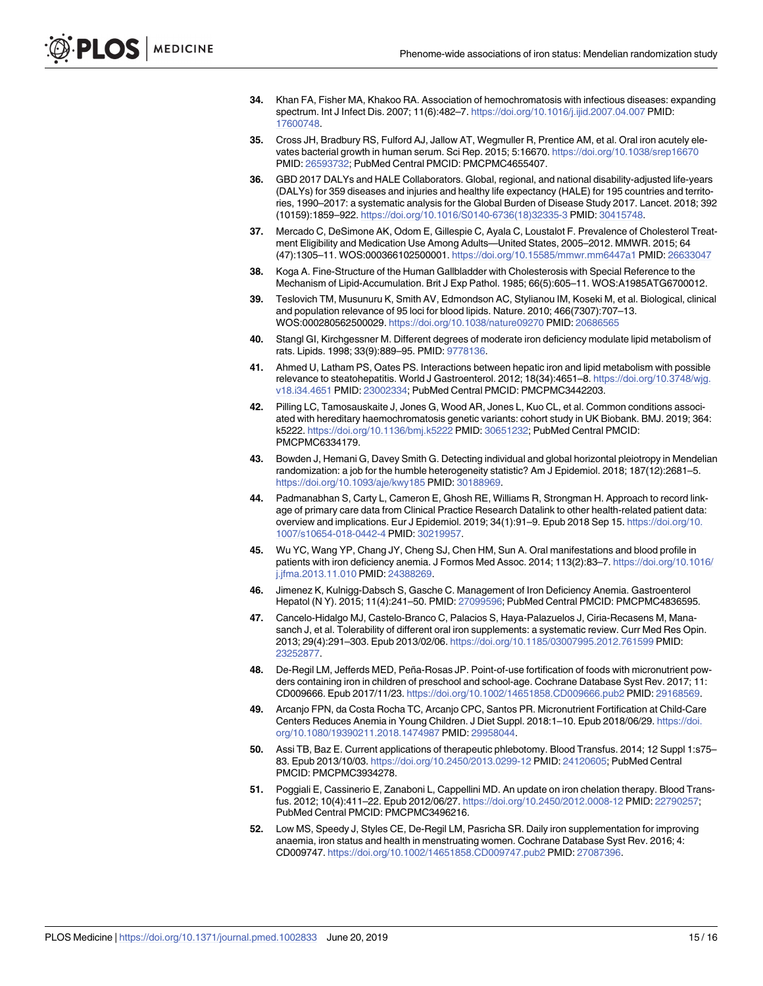- <span id="page-14-0"></span>**[34](#page-6-0).** Khan FA, Fisher MA, Khakoo RA. Association of hemochromatosis with infectious diseases: expanding spectrum. Int J Infect Dis. 2007; 11(6):482–7. <https://doi.org/10.1016/j.ijid.2007.04.007> PMID: [17600748](http://www.ncbi.nlm.nih.gov/pubmed/17600748).
- **[35](#page-6-0).** Cross JH, Bradbury RS, Fulford AJ, Jallow AT, Wegmuller R, Prentice AM, et al. Oral iron acutely elevates bacterial growth in human serum. Sci Rep. 2015; 5:16670. <https://doi.org/10.1038/srep16670> PMID: [26593732](http://www.ncbi.nlm.nih.gov/pubmed/26593732); PubMed Central PMCID: PMCPMC4655407.
- **[36](#page-6-0).** GBD 2017 DALYs and HALE Collaborators. Global, regional, and national disability-adjusted life-years (DALYs) for 359 diseases and injuries and healthy life expectancy (HALE) for 195 countries and territories, 1990–2017: a systematic analysis for the Global Burden of Disease Study 2017. Lancet. 2018; 392 (10159):1859–922. [https://doi.org/10.1016/S0140-6736\(18\)32335-3](https://doi.org/10.1016/S0140-6736(18)32335-3) PMID: [30415748](http://www.ncbi.nlm.nih.gov/pubmed/30415748).
- **[37](#page-6-0).** Mercado C, DeSimone AK, Odom E, Gillespie C, Ayala C, Loustalot F. Prevalence of Cholesterol Treatment Eligibility and Medication Use Among Adults—United States, 2005–2012. MMWR. 2015; 64 (47):1305–11. WOS:000366102500001. <https://doi.org/10.15585/mmwr.mm6447a1> PMID: [26633047](http://www.ncbi.nlm.nih.gov/pubmed/26633047)
- **[38](#page-6-0).** Koga A. Fine-Structure of the Human Gallbladder with Cholesterosis with Special Reference to the Mechanism of Lipid-Accumulation. Brit J Exp Pathol. 1985; 66(5):605–11. WOS:A1985ATG6700012.
- **[39](#page-6-0).** Teslovich TM, Musunuru K, Smith AV, Edmondson AC, Stylianou IM, Koseki M, et al. Biological, clinical and population relevance of 95 loci for blood lipids. Nature. 2010; 466(7307):707–13. WOS:000280562500029. <https://doi.org/10.1038/nature09270> PMID: [20686565](http://www.ncbi.nlm.nih.gov/pubmed/20686565)
- **[40](#page-6-0).** Stangl GI, Kirchgessner M. Different degrees of moderate iron deficiency modulate lipid metabolism of rats. Lipids. 1998; 33(9):889–95. PMID: [9778136](http://www.ncbi.nlm.nih.gov/pubmed/9778136).
- **[41](#page-6-0).** Ahmed U, Latham PS, Oates PS. Interactions between hepatic iron and lipid metabolism with possible relevance to steatohepatitis. World J Gastroenterol. 2012; 18(34):4651–8. [https://doi.org/10.3748/wjg.](https://doi.org/10.3748/wjg.v18.i34.4651) [v18.i34.4651](https://doi.org/10.3748/wjg.v18.i34.4651) PMID: [23002334;](http://www.ncbi.nlm.nih.gov/pubmed/23002334) PubMed Central PMCID: PMCPMC3442203.
- **[42](#page-7-0).** Pilling LC, Tamosauskaite J, Jones G, Wood AR, Jones L, Kuo CL, et al. Common conditions associated with hereditary haemochromatosis genetic variants: cohort study in UK Biobank. BMJ. 2019; 364: k5222. <https://doi.org/10.1136/bmj.k5222> PMID: [30651232](http://www.ncbi.nlm.nih.gov/pubmed/30651232); PubMed Central PMCID: PMCPMC6334179.
- **[43](#page-7-0).** Bowden J, Hemani G, Davey Smith G. Detecting individual and global horizontal pleiotropy in Mendelian randomization: a job for the humble heterogeneity statistic? Am J Epidemiol. 2018; 187(12):2681–5. <https://doi.org/10.1093/aje/kwy185> PMID: [30188969.](http://www.ncbi.nlm.nih.gov/pubmed/30188969)
- **[44](#page-8-0).** Padmanabhan S, Carty L, Cameron E, Ghosh RE, Williams R, Strongman H. Approach to record linkage of primary care data from Clinical Practice Research Datalink to other health-related patient data: overview and implications. Eur J Epidemiol. 2019; 34(1):91–9. Epub 2018 Sep 15. [https://doi.org/10.](https://doi.org/10.1007/s10654-018-0442-4) [1007/s10654-018-0442-4](https://doi.org/10.1007/s10654-018-0442-4) PMID: [30219957](http://www.ncbi.nlm.nih.gov/pubmed/30219957).
- **[45](#page-9-0).** Wu YC, Wang YP, Chang JY, Cheng SJ, Chen HM, Sun A. Oral manifestations and blood profile in patients with iron deficiency anemia. J Formos Med Assoc. 2014; 113(2):83–7. [https://doi.org/10.1016/](https://doi.org/10.1016/j.jfma.2013.11.010) [j.jfma.2013.11.010](https://doi.org/10.1016/j.jfma.2013.11.010) PMID: [24388269.](http://www.ncbi.nlm.nih.gov/pubmed/24388269)
- **[46](#page-9-0).** Jimenez K, Kulnigg-Dabsch S, Gasche C. Management of Iron Deficiency Anemia. Gastroenterol Hepatol (N Y). 2015; 11(4):241–50. PMID: [27099596](http://www.ncbi.nlm.nih.gov/pubmed/27099596); PubMed Central PMCID: PMCPMC4836595.
- **[47](#page-9-0).** Cancelo-Hidalgo MJ, Castelo-Branco C, Palacios S, Haya-Palazuelos J, Ciria-Recasens M, Manasanch J, et al. Tolerability of different oral iron supplements: a systematic review. Curr Med Res Opin. 2013; 29(4):291–303. Epub 2013/02/06. <https://doi.org/10.1185/03007995.2012.761599> PMID: [23252877](http://www.ncbi.nlm.nih.gov/pubmed/23252877).
- **[48](#page-9-0).** De-Regil LM, Jefferds MED, Peña-Rosas JP. Point-of-use fortification of foods with micronutrient powders containing iron in children of preschool and school-age. Cochrane Database Syst Rev. 2017; 11: CD009666. Epub 2017/11/23. <https://doi.org/10.1002/14651858.CD009666.pub2> PMID: [29168569.](http://www.ncbi.nlm.nih.gov/pubmed/29168569)
- **[49](#page-9-0).** Arcanjo FPN, da Costa Rocha TC, Arcanjo CPC, Santos PR. Micronutrient Fortification at Child-Care Centers Reduces Anemia in Young Children. J Diet Suppl. 2018:1–10. Epub 2018/06/29. [https://doi.](https://doi.org/10.1080/19390211.2018.1474987) [org/10.1080/19390211.2018.1474987](https://doi.org/10.1080/19390211.2018.1474987) PMID: [29958044](http://www.ncbi.nlm.nih.gov/pubmed/29958044).
- **[50](#page-10-0).** Assi TB, Baz E. Current applications of therapeutic phlebotomy. Blood Transfus. 2014; 12 Suppl 1:s75– 83. Epub 2013/10/03. <https://doi.org/10.2450/2013.0299-12> PMID: [24120605;](http://www.ncbi.nlm.nih.gov/pubmed/24120605) PubMed Central PMCID: PMCPMC3934278.
- **[51](#page-10-0).** Poggiali E, Cassinerio E, Zanaboni L, Cappellini MD. An update on iron chelation therapy. Blood Transfus. 2012; 10(4):411–22. Epub 2012/06/27. <https://doi.org/10.2450/2012.0008-12> PMID: [22790257;](http://www.ncbi.nlm.nih.gov/pubmed/22790257) PubMed Central PMCID: PMCPMC3496216.
- **[52](#page-10-0).** Low MS, Speedy J, Styles CE, De-Regil LM, Pasricha SR. Daily iron supplementation for improving anaemia, iron status and health in menstruating women. Cochrane Database Syst Rev. 2016; 4: CD009747. <https://doi.org/10.1002/14651858.CD009747.pub2> PMID: [27087396](http://www.ncbi.nlm.nih.gov/pubmed/27087396).